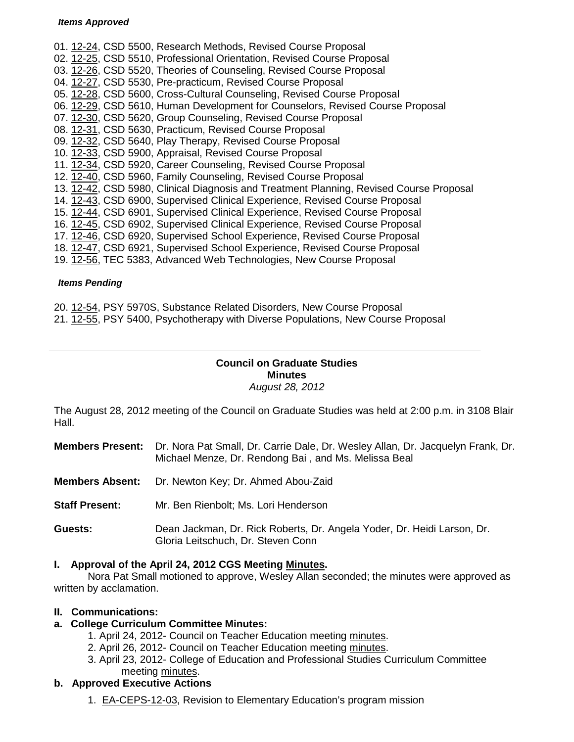#### *Items Approved*

01. [12-24,](http://castle.eiu.edu/~eiucgs/currentagendaitems/agenda12-24.pdf) CSD 5500, Research Methods, Revised Course Proposal 02. [12-25,](http://castle.eiu.edu/~eiucgs/currentagendaitems/agenda12-25.pdf) CSD 5510, Professional Orientation, Revised Course Proposal 03. [12-26,](http://castle.eiu.edu/~eiucgs/currentagendaitems/agenda12-26.pdf) CSD 5520, Theories of Counseling, Revised Course Proposal 04. [12-27,](http://castle.eiu.edu/~eiucgs/currentagendaitems/agenda12-27.pdf) CSD 5530, Pre-practicum, Revised Course Proposal 05. [12-28,](http://castle.eiu.edu/~eiucgs/currentagendaitems/agenda12-28.pdf) CSD 5600, Cross-Cultural Counseling, Revised Course Proposal 06. [12-29,](http://castle.eiu.edu/~eiucgs/currentagendaitems/agenda12-29.pdf) CSD 5610, Human Development for Counselors, Revised Course Proposal 07. [12-30,](http://castle.eiu.edu/~eiucgs/currentagendaitems/agenda12-30.pdf) CSD 5620, Group Counseling, Revised Course Proposal 08. [12-31,](http://castle.eiu.edu/~eiucgs/currentagendaitems/agenda12-31.pdf) CSD 5630, Practicum, Revised Course Proposal 09. [12-32,](http://castle.eiu.edu/~eiucgs/currentagendaitems/agenda12-32.pdf) CSD 5640, Play Therapy, Revised Course Proposal 10. [12-33,](http://castle.eiu.edu/~eiucgs/currentagendaitems/agenda12-33.pdf) CSD 5900, Appraisal, Revised Course Proposal 11. [12-34,](http://castle.eiu.edu/~eiucgs/currentagendaitems/agenda12-34.pdf) CSD 5920, Career Counseling, Revised Course Proposal 12. [12-40,](http://castle.eiu.edu/~eiucgs/currentagendaitems/agenda12-40.pdf) CSD 5960, Family Counseling, Revised Course Proposal 13. [12-42,](http://castle.eiu.edu/~eiucgs/currentagendaitems/agenda12-42.pdf) CSD 5980, Clinical Diagnosis and Treatment Planning, Revised Course Proposal 14. [12-43,](http://castle.eiu.edu/~eiucgs/currentagendaitems/agenda12-43.pdf) CSD 6900, Supervised Clinical Experience, Revised Course Proposal 15. [12-44,](http://castle.eiu.edu/~eiucgs/currentagendaitems/agenda12-44.pdf) CSD 6901, Supervised Clinical Experience, Revised Course Proposal 16. [12-45,](http://castle.eiu.edu/~eiucgs/currentagendaitems/agenda12-45.pdf) CSD 6902, Supervised Clinical Experience, Revised Course Proposal 17. [12-46,](http://castle.eiu.edu/~eiucgs/currentagendaitems/agenda12-46.pdf) CSD 6920, Supervised School Experience, Revised Course Proposal 18. [12-47,](http://castle.eiu.edu/~eiucgs/currentagendaitems/agenda12-47.pdf) CSD 6921, Supervised School Experience, Revised Course Proposal 19. [12-56,](http://castle.eiu.edu/~eiucgs/currentagendaitems/agenda12-56.pdf) TEC 5383, Advanced Web Technologies, New Course Proposal

#### *Items Pending*

- 20. [12-54,](http://castle.eiu.edu/~eiucgs/currentagendaitems/agenda12-54.pdf) PSY 5970S, Substance Related Disorders, New Course Proposal
- 21. [12-55,](http://castle.eiu.edu/~eiucgs/currentagendaitems/agenda12-55.pdf) PSY 5400, Psychotherapy with Diverse Populations, New Course Proposal

#### **Council on Graduate Studies Minutes** *August 28, 2012*

The August 28, 2012 meeting of the Council on Graduate Studies was held at 2:00 p.m. in 3108 Blair Hall.

- **Members Present:** Dr. Nora Pat Small, Dr. Carrie Dale, Dr. Wesley Allan, Dr. Jacquelyn Frank, Dr. Michael Menze, Dr. Rendong Bai , and Ms. Melissa Beal
- **Members Absent:** Dr. Newton Key; Dr. Ahmed Abou-Zaid
- **Staff Present:** Mr. Ben Rienbolt; Ms. Lori Henderson
- **Guests:** Dean Jackman, Dr. Rick Roberts, Dr. Angela Yoder, Dr. Heidi Larson, Dr. Gloria Leitschuch, Dr. Steven Conn

#### **I. Approval of the April 24, 2012 CGS Meeting [Minutes.](http://castle.eiu.edu/eiucgs/currentminutes/Minutes4-24-12.pdf)**

Nora Pat Small motioned to approve, Wesley Allan seconded; the minutes were approved as written by acclamation.

#### **II. Communications:**

## **a. College Curriculum Committee Minutes:**

- 1. April 24, 2012- Council on Teacher Education meeting [minutes.](http://castle.eiu.edu/~eiucgs/currentagendaitems/COTEMin4-24-12.pdf)
- 2. April 26, 2012- Council on Teacher Education meeting [minutes.](http://castle.eiu.edu/~eiucgs/currentagendaitems/COTEMin4-26-12.pdf)
- 3. April 23, 2012- College of Education and Professional Studies Curriculum Committee meeting [minutes.](http://castle.eiu.edu/~eiucgs/currentagendaitems/CEPSMin4-23-12.pdf)

## **b. Approved Executive Actions**

1. [EA-CEPS-12-03,](http://castle.eiu.edu/~eiucgs/exec-actions/EA-CEPS-12-03.pdf) Revision to Elementary Education's program mission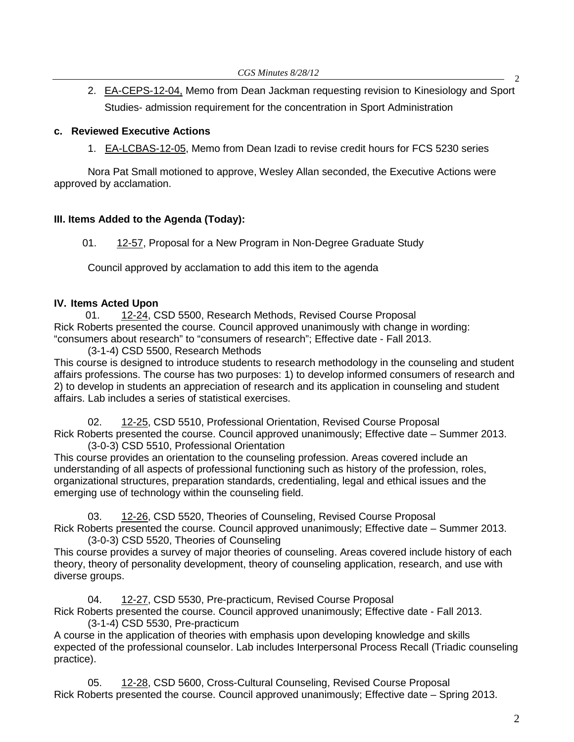2. [EA-CEPS-12-04,](http://castle.eiu.edu/~eiucgs/exec-actions/EA-CEPS-12-04.pdf) Memo from Dean Jackman requesting revision to Kinesiology and Sport Studies- admission requirement for the concentration in Sport Administration

#### **c. Reviewed Executive Actions**

1. [EA-LCBAS-12-05,](http://castle.eiu.edu/~eiucgs/exec-actions/EA-LCBAS-12-05.pdf) Memo from Dean Izadi to revise credit hours for FCS 5230 series

Nora Pat Small motioned to approve, Wesley Allan seconded, the Executive Actions were approved by acclamation.

## **III. Items Added to the Agenda (Today):**

01. [12-57,](http://castle.eiu.edu/~eiucgs/currentagendaitems/agenda12-57.pdf) Proposal for a New Program in Non-Degree Graduate Study

Council approved by acclamation to add this item to the agenda

#### **IV. Items Acted Upon**

 01. [12-24,](http://castle.eiu.edu/~eiucgs/currentagendaitems/agenda12-24.pdf) CSD 5500, Research Methods, Revised Course Proposal Rick Roberts presented the course. Council approved unanimously with change in wording: "consumers about research" to "consumers of research"; Effective date - Fall 2013.

(3-1-4) CSD 5500, Research Methods

This course is designed to introduce students to research methodology in the counseling and student affairs professions. The course has two purposes: 1) to develop informed consumers of research and 2) to develop in students an appreciation of research and its application in counseling and student affairs. Lab includes a series of statistical exercises.

02. [12-25,](http://castle.eiu.edu/~eiucgs/currentagendaitems/agenda12-25.pdf) CSD 5510, Professional Orientation, Revised Course Proposal Rick Roberts presented the course. Council approved unanimously; Effective date – Summer 2013. (3-0-3) CSD 5510, Professional Orientation

This course provides an orientation to the counseling profession. Areas covered include an understanding of all aspects of professional functioning such as history of the profession, roles, organizational structures, preparation standards, credentialing, legal and ethical issues and the emerging use of technology within the counseling field.

03. [12-26,](http://castle.eiu.edu/~eiucgs/currentagendaitems/agenda12-26.pdf) CSD 5520, Theories of Counseling, Revised Course Proposal Rick Roberts presented the course. Council approved unanimously; Effective date – Summer 2013. (3-0-3) CSD 5520, Theories of Counseling

This course provides a survey of major theories of counseling. Areas covered include history of each theory, theory of personality development, theory of counseling application, research, and use with diverse groups.

04. [12-27,](http://castle.eiu.edu/~eiucgs/currentagendaitems/agenda12-27.pdf) CSD 5530, Pre-practicum, Revised Course Proposal Rick Roberts presented the course. Council approved unanimously; Effective date - Fall 2013. (3-1-4) CSD 5530, Pre-practicum

A course in the application of theories with emphasis upon developing knowledge and skills expected of the professional counselor. Lab includes Interpersonal Process Recall (Triadic counseling practice).

05. [12-28,](http://castle.eiu.edu/~eiucgs/currentagendaitems/agenda12-28.pdf) CSD 5600, Cross-Cultural Counseling, Revised Course Proposal Rick Roberts presented the course. Council approved unanimously; Effective date – Spring 2013.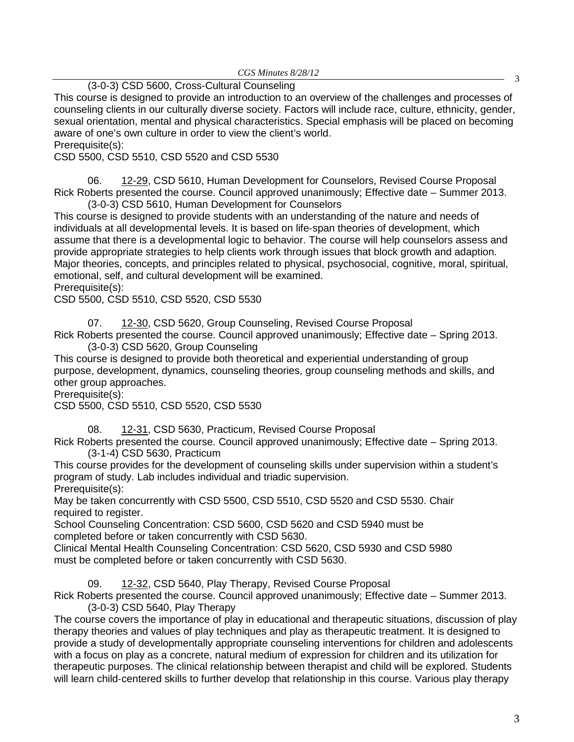*CGS Minutes 8/28/12*

# <sup>3</sup> (3-0-3) CSD 5600, Cross-Cultural Counseling

This course is designed to provide an introduction to an overview of the challenges and processes of counseling clients in our culturally diverse society. Factors will include race, culture, ethnicity, gender, sexual orientation, mental and physical characteristics. Special emphasis will be placed on becoming aware of one's own culture in order to view the client's world. Prerequisite(s):

CSD 5500, CSD 5510, CSD 5520 and CSD 5530

06. [12-29,](http://castle.eiu.edu/~eiucgs/currentagendaitems/agenda12-29.pdf) CSD 5610, Human Development for Counselors, Revised Course Proposal Rick Roberts presented the course. Council approved unanimously; Effective date – Summer 2013. (3-0-3) CSD 5610, Human Development for Counselors

This course is designed to provide students with an understanding of the nature and needs of individuals at all developmental levels. It is based on life‐span theories of development, which assume that there is a developmental logic to behavior. The course will help counselors assess and provide appropriate strategies to help clients work through issues that block growth and adaption. Major theories, concepts, and principles related to physical, psychosocial, cognitive, moral, spiritual, emotional, self, and cultural development will be examined.

Prerequisite(s):

CSD 5500, CSD 5510, CSD 5520, CSD 5530

07. [12-30,](http://castle.eiu.edu/~eiucgs/currentagendaitems/agenda12-30.pdf) CSD 5620, Group Counseling, Revised Course Proposal

Rick Roberts presented the course. Council approved unanimously; Effective date – Spring 2013. (3-0-3) CSD 5620, Group Counseling

This course is designed to provide both theoretical and experiential understanding of group purpose, development, dynamics, counseling theories, group counseling methods and skills, and other group approaches.

Prerequisite(s):

CSD 5500, CSD 5510, CSD 5520, CSD 5530

08. [12-31,](http://castle.eiu.edu/~eiucgs/currentagendaitems/agenda12-31.pdf) CSD 5630, Practicum, Revised Course Proposal

Rick Roberts presented the course. Council approved unanimously; Effective date – Spring 2013. (3-1-4) CSD 5630, Practicum

This course provides for the development of counseling skills under supervision within a student's program of study. Lab includes individual and triadic supervision. Prerequisite(s):

May be taken concurrently with CSD 5500, CSD 5510, CSD 5520 and CSD 5530. Chair required to register.

School Counseling Concentration: CSD 5600, CSD 5620 and CSD 5940 must be completed before or taken concurrently with CSD 5630.

Clinical Mental Health Counseling Concentration: CSD 5620, CSD 5930 and CSD 5980 must be completed before or taken concurrently with CSD 5630.

09. [12-32,](http://castle.eiu.edu/~eiucgs/currentagendaitems/agenda12-32.pdf) CSD 5640, Play Therapy, Revised Course Proposal

Rick Roberts presented the course. Council approved unanimously; Effective date – Summer 2013. (3-0-3) CSD 5640, Play Therapy

The course covers the importance of play in educational and therapeutic situations, discussion of play therapy theories and values of play techniques and play as therapeutic treatment. It is designed to provide a study of developmentally appropriate counseling interventions for children and adolescents with a focus on play as a concrete, natural medium of expression for children and its utilization for therapeutic purposes. The clinical relationship between therapist and child will be explored. Students will learn child-centered skills to further develop that relationship in this course. Various play therapy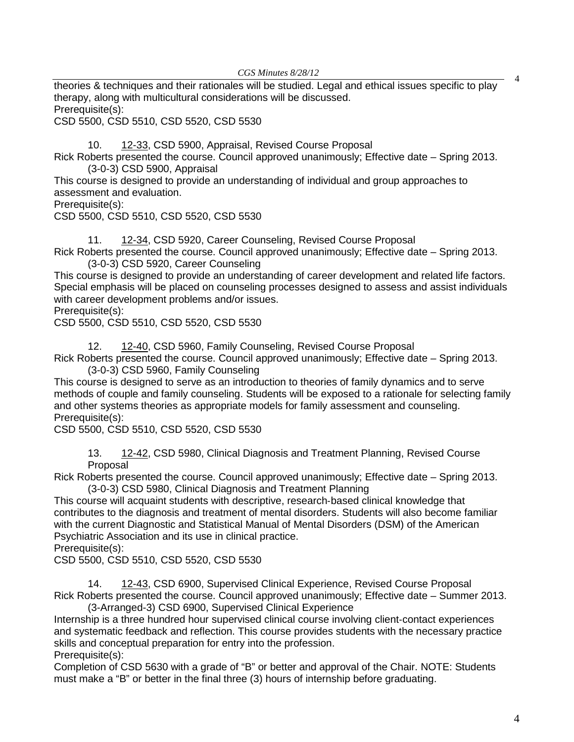*CGS Minutes 8/28/12*

<sup>4</sup> theories & techniques and their rationales will be studied. Legal and ethical issues specific to play therapy, along with multicultural considerations will be discussed. Prerequisite(s):

CSD 5500, CSD 5510, CSD 5520, CSD 5530

10. [12-33,](http://castle.eiu.edu/~eiucgs/currentagendaitems/agenda12-33.pdf) CSD 5900, Appraisal, Revised Course Proposal

Rick Roberts presented the course. Council approved unanimously; Effective date – Spring 2013. (3-0-3) CSD 5900, Appraisal

This course is designed to provide an understanding of individual and group approaches to assessment and evaluation.

Prerequisite(s):

CSD 5500, CSD 5510, CSD 5520, CSD 5530

11. [12-34,](http://castle.eiu.edu/~eiucgs/currentagendaitems/agenda12-34.pdf) CSD 5920, Career Counseling, Revised Course Proposal Rick Roberts presented the course. Council approved unanimously; Effective date – Spring 2013. (3-0-3) CSD 5920, Career Counseling

This course is designed to provide an understanding of career development and related life factors. Special emphasis will be placed on counseling processes designed to assess and assist individuals with career development problems and/or issues.

Prerequisite(s):

CSD 5500, CSD 5510, CSD 5520, CSD 5530

12. [12-40,](http://castle.eiu.edu/~eiucgs/currentagendaitems/agenda12-40.pdf) CSD 5960, Family Counseling, Revised Course Proposal

Rick Roberts presented the course. Council approved unanimously; Effective date – Spring 2013. (3-0-3) CSD 5960, Family Counseling

This course is designed to serve as an introduction to theories of family dynamics and to serve methods of couple and family counseling. Students will be exposed to a rationale for selecting family and other systems theories as appropriate models for family assessment and counseling. Prerequisite(s):

CSD 5500, CSD 5510, CSD 5520, CSD 5530

13. [12-42,](http://castle.eiu.edu/~eiucgs/currentagendaitems/agenda12-42.pdf) CSD 5980, Clinical Diagnosis and Treatment Planning, Revised Course Proposal

Rick Roberts presented the course. Council approved unanimously; Effective date – Spring 2013. (3-0-3) CSD 5980, Clinical Diagnosis and Treatment Planning

This course will acquaint students with descriptive, research‐based clinical knowledge that contributes to the diagnosis and treatment of mental disorders. Students will also become familiar with the current Diagnostic and Statistical Manual of Mental Disorders (DSM) of the American Psychiatric Association and its use in clinical practice.

Prerequisite(s):

CSD 5500, CSD 5510, CSD 5520, CSD 5530

14. [12-43,](http://castle.eiu.edu/~eiucgs/currentagendaitems/agenda12-43.pdf) CSD 6900, Supervised Clinical Experience, Revised Course Proposal Rick Roberts presented the course. Council approved unanimously; Effective date – Summer 2013. (3-Arranged-3) CSD 6900, Supervised Clinical Experience

Internship is a three hundred hour supervised clinical course involving client‐contact experiences and systematic feedback and reflection. This course provides students with the necessary practice skills and conceptual preparation for entry into the profession. Prerequisite(s):

Completion of CSD 5630 with a grade of "B" or better and approval of the Chair. NOTE: Students must make a "B" or better in the final three (3) hours of internship before graduating.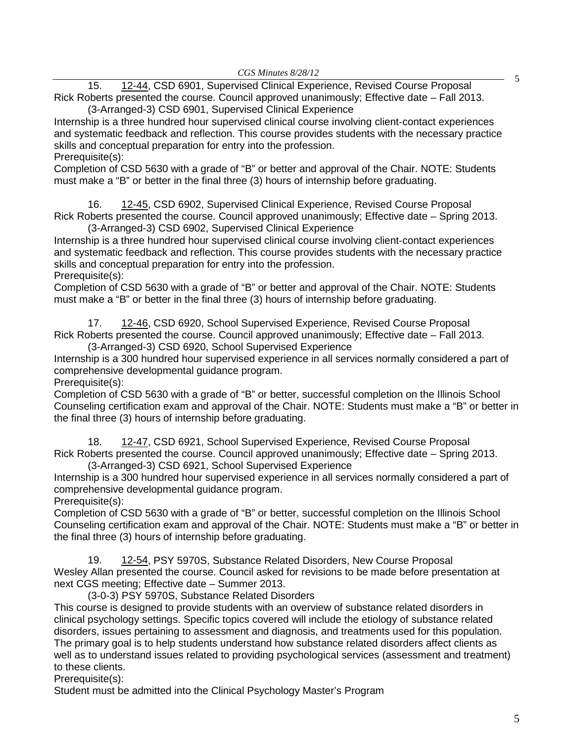<sup>5</sup> 15. [12-44,](http://castle.eiu.edu/~eiucgs/currentagendaitems/agenda12-44.pdf) CSD 6901, Supervised Clinical Experience, Revised Course Proposal Rick Roberts presented the course. Council approved unanimously; Effective date – Fall 2013. (3-Arranged-3) CSD 6901, Supervised Clinical Experience

Internship is a three hundred hour supervised clinical course involving client‐contact experiences and systematic feedback and reflection. This course provides students with the necessary practice skills and conceptual preparation for entry into the profession.

Prerequisite(s):

Completion of CSD 5630 with a grade of "B" or better and approval of the Chair. NOTE: Students must make a "B" or better in the final three (3) hours of internship before graduating.

16. [12-45,](http://castle.eiu.edu/~eiucgs/currentagendaitems/agenda12-45.pdf) CSD 6902, Supervised Clinical Experience, Revised Course Proposal Rick Roberts presented the course. Council approved unanimously; Effective date – Spring 2013. (3-Arranged-3) CSD 6902, Supervised Clinical Experience

Internship is a three hundred hour supervised clinical course involving client‐contact experiences and systematic feedback and reflection. This course provides students with the necessary practice skills and conceptual preparation for entry into the profession. Prerequisite(s):

Completion of CSD 5630 with a grade of "B" or better and approval of the Chair. NOTE: Students must make a "B" or better in the final three (3) hours of internship before graduating.

17. [12-46,](http://castle.eiu.edu/~eiucgs/currentagendaitems/agenda12-46.pdf) CSD 6920, School Supervised Experience, Revised Course Proposal Rick Roberts presented the course. Council approved unanimously; Effective date – Fall 2013. (3-Arranged-3) CSD 6920, School Supervised Experience

Internship is a 300 hundred hour supervised experience in all services normally considered a part of comprehensive developmental guidance program.

Prerequisite(s):

Completion of CSD 5630 with a grade of "B" or better, successful completion on the Illinois School Counseling certification exam and approval of the Chair. NOTE: Students must make a "B" or better in the final three (3) hours of internship before graduating.

18. [12-47,](http://castle.eiu.edu/~eiucgs/currentagendaitems/agenda12-47.pdf) CSD 6921, School Supervised Experience, Revised Course Proposal Rick Roberts presented the course. Council approved unanimously; Effective date – Spring 2013. (3-Arranged-3) CSD 6921, School Supervised Experience

Internship is a 300 hundred hour supervised experience in all services normally considered a part of comprehensive developmental guidance program.

Prerequisite(s):

Completion of CSD 5630 with a grade of "B" or better, successful completion on the Illinois School Counseling certification exam and approval of the Chair. NOTE: Students must make a "B" or better in the final three (3) hours of internship before graduating.

19. [12-54,](http://castle.eiu.edu/~eiucgs/currentagendaitems/agenda12-54.pdf) PSY 5970S, Substance Related Disorders, New Course Proposal Wesley Allan presented the course. Council asked for revisions to be made before presentation at next CGS meeting; Effective date – Summer 2013.

(3-0-3) PSY 5970S, Substance Related Disorders

This course is designed to provide students with an overview of substance related disorders in clinical psychology settings. Specific topics covered will include the etiology of substance related disorders, issues pertaining to assessment and diagnosis, and treatments used for this population. The primary goal is to help students understand how substance related disorders affect clients as well as to understand issues related to providing psychological services (assessment and treatment) to these clients.

Prerequisite(s):

Student must be admitted into the Clinical Psychology Master's Program